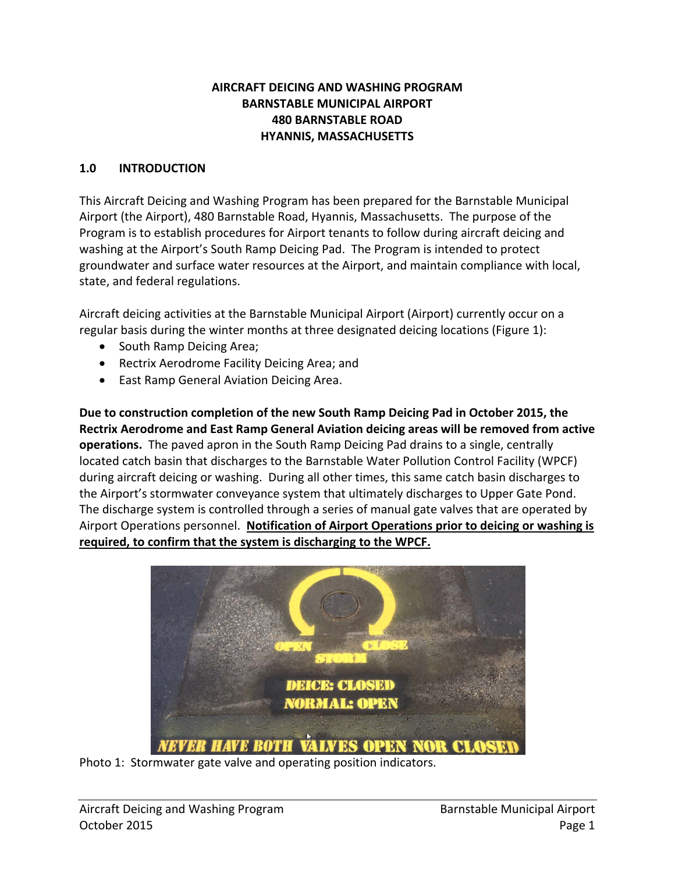#### **AIRCRAFT DEICING AND WASHING PROGRAM BARNSTABLE MUNICIPAL AIRPORT 480 BARNSTABLE ROAD HYANNIS, MASSACHUSETTS**

#### **1.0 INTRODUCTION**

This Aircraft Deicing and Washing Program has been prepared for the Barnstable Municipal Airport (the Airport), 480 Barnstable Road, Hyannis, Massachusetts. The purpose of the Program is to establish procedures for Airport tenants to follow during aircraft deicing and washing at the Airport's South Ramp Deicing Pad. The Program is intended to protect groundwater and surface water resources at the Airport, and maintain compliance with local, state, and federal regulations.

Aircraft deicing activities at the Barnstable Municipal Airport (Airport) currently occur on a regular basis during the winter months at three designated deicing locations (Figure 1):

- South Ramp Deicing Area;
- Rectrix Aerodrome Facility Deicing Area; and
- East Ramp General Aviation Deicing Area.

**Due to construction completion of the new South Ramp Deicing Pad in October 2015, the Rectrix Aerodrome and East Ramp General Aviation deicing areas will be removed from active operations.** The paved apron in the South Ramp Deicing Pad drains to a single, centrally located catch basin that discharges to the Barnstable Water Pollution Control Facility (WPCF) during aircraft deicing or washing. During all other times, this same catch basin discharges to the Airport's stormwater conveyance system that ultimately discharges to Upper Gate Pond. The discharge system is controlled through a series of manual gate valves that are operated by Airport Operations personnel. **Notification of Airport Operations prior to deicing or washing is required, to confirm that the system is discharging to the WPCF.** 



Photo 1: Stormwater gate valve and operating position indicators.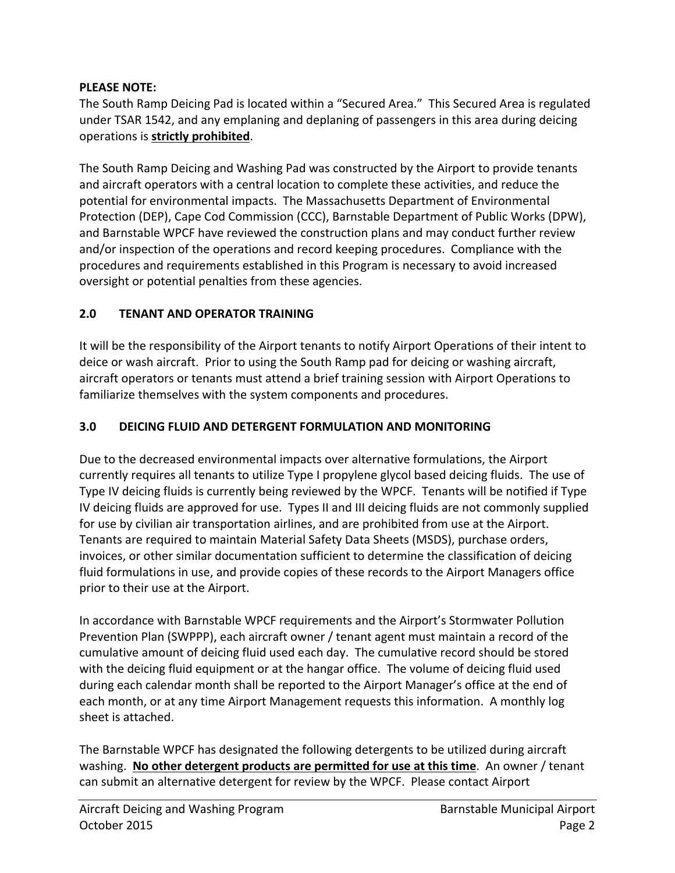### **PLEASE NOTE:**

The South Ramp Deicing Pad is located within a "Secured Area." This Secured Area is regulated under TSAR 1542, and any emplaning and deplaning of passengers in this area during deicing operations is **strictly prohibited**.

The South Ramp Deicing and Washing Pad was constructed by the Airport to provide tenants and aircraft operators with a central location to complete these activities, and reduce the potential for environmental impacts. The Massachusetts Department of Environmental Protection (DEP), Cape Cod Commission (CCC), Barnstable Department of Public Works (DPW), and Barnstable WPCF have reviewed the construction plans and may conduct further review and/or inspection of the operations and record keeping procedures. Compliance with the procedures and requirements established in this Program is necessary to avoid increased oversight or potential penalties from these agencies.

## **2.0 TENANT AND OPERATOR TRAINING**

It will be the responsibility of the Airport tenants to notify Airport Operations of their intent to deice or wash aircraft. Prior to using the South Ramp pad for deicing or washing aircraft, aircraft operators or tenants must attend a brief training session with Airport Operations to familiarize themselves with the system components and procedures.

## **3.0 DEICING FLUID AND DETERGENT FORMULATION AND MONITORING**

Due to the decreased environmental impacts over alternative formulations, the Airport currently requires all tenants to utilize Type I propylene glycol based deicing fluids. The use of Type IV deicing fluids is currently being reviewed by the WPCF. Tenants will be notified if Type IV deicing fluids are approved for use. Types II and III deicing fluids are not commonly supplied for use by civilian air transportation airlines, and are prohibited from use at the Airport. Tenants are required to maintain Material Safety Data Sheets (MSDS), purchase orders, invoices, or other similar documentation sufficient to determine the classification of deicing fluid formulations in use, and provide copies of these records to the Airport Managers office prior to their use at the Airport.

In accordance with Barnstable WPCF requirements and the Airport's Stormwater Pollution Prevention Plan (SWPPP), each aircraft owner / tenant agent must maintain a record of the cumulative amount of deicing fluid used each day. The cumulative record should be stored with the deicing fluid equipment or at the hangar office. The volume of deicing fluid used during each calendar month shall be reported to the Airport Manager's office at the end of each month, or at any time Airport Management requests this information. A monthly log sheet is attached.

The Barnstable WPCF has designated the following detergents to be utilized during aircraft washing. **No other detergent products are permitted for use at this time**. An owner / tenant can submit an alternative detergent for review by the WPCF. Please contact Airport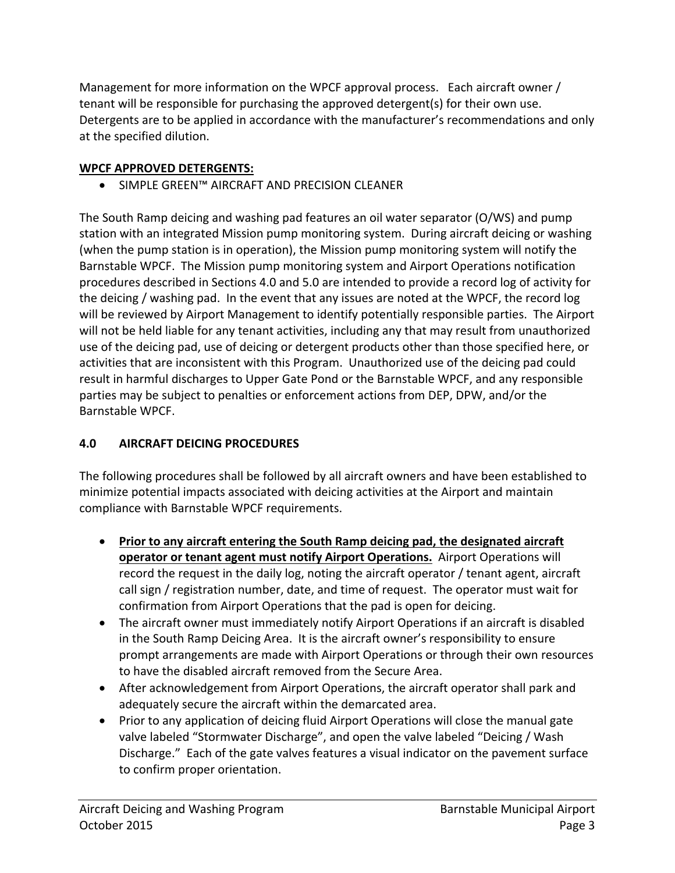Management for more information on the WPCF approval process. Each aircraft owner / tenant will be responsible for purchasing the approved detergent(s) for their own use. Detergents are to be applied in accordance with the manufacturer's recommendations and only at the specified dilution.

## **WPCF APPROVED DETERGENTS:**

• SIMPLE GREEN™ AIRCRAFT AND PRECISION CLEANER

The South Ramp deicing and washing pad features an oil water separator (O/WS) and pump station with an integrated Mission pump monitoring system. During aircraft deicing or washing (when the pump station is in operation), the Mission pump monitoring system will notify the Barnstable WPCF. The Mission pump monitoring system and Airport Operations notification procedures described in Sections 4.0 and 5.0 are intended to provide a record log of activity for the deicing / washing pad. In the event that any issues are noted at the WPCF, the record log will be reviewed by Airport Management to identify potentially responsible parties. The Airport will not be held liable for any tenant activities, including any that may result from unauthorized use of the deicing pad, use of deicing or detergent products other than those specified here, or activities that are inconsistent with this Program. Unauthorized use of the deicing pad could result in harmful discharges to Upper Gate Pond or the Barnstable WPCF, and any responsible parties may be subject to penalties or enforcement actions from DEP, DPW, and/or the Barnstable WPCF.

# **4.0 AIRCRAFT DEICING PROCEDURES**

The following procedures shall be followed by all aircraft owners and have been established to minimize potential impacts associated with deicing activities at the Airport and maintain compliance with Barnstable WPCF requirements.

- **Prior to any aircraft entering the South Ramp deicing pad, the designated aircraft operator or tenant agent must notify Airport Operations.** Airport Operations will record the request in the daily log, noting the aircraft operator / tenant agent, aircraft call sign / registration number, date, and time of request. The operator must wait for confirmation from Airport Operations that the pad is open for deicing.
- The aircraft owner must immediately notify Airport Operations if an aircraft is disabled in the South Ramp Deicing Area. It is the aircraft owner's responsibility to ensure prompt arrangements are made with Airport Operations or through their own resources to have the disabled aircraft removed from the Secure Area.
- After acknowledgement from Airport Operations, the aircraft operator shall park and adequately secure the aircraft within the demarcated area.
- Prior to any application of deicing fluid Airport Operations will close the manual gate valve labeled "Stormwater Discharge", and open the valve labeled "Deicing / Wash Discharge." Each of the gate valves features a visual indicator on the pavement surface to confirm proper orientation.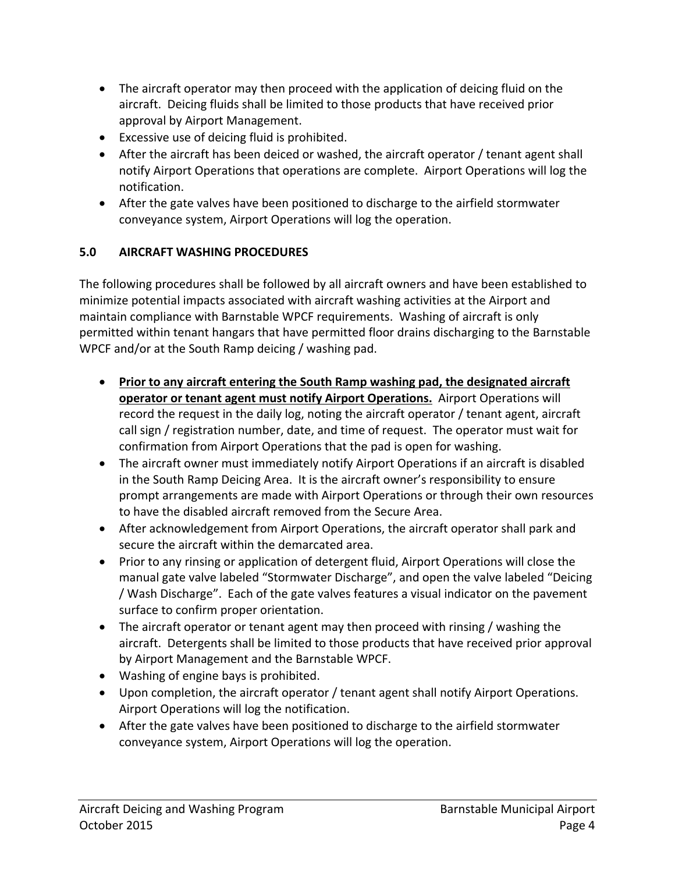- The aircraft operator may then proceed with the application of deicing fluid on the aircraft. Deicing fluids shall be limited to those products that have received prior approval by Airport Management.
- Excessive use of deicing fluid is prohibited.
- After the aircraft has been deiced or washed, the aircraft operator / tenant agent shall notify Airport Operations that operations are complete. Airport Operations will log the notification.
- After the gate valves have been positioned to discharge to the airfield stormwater conveyance system, Airport Operations will log the operation.

# **5.0 AIRCRAFT WASHING PROCEDURES**

The following procedures shall be followed by all aircraft owners and have been established to minimize potential impacts associated with aircraft washing activities at the Airport and maintain compliance with Barnstable WPCF requirements. Washing of aircraft is only permitted within tenant hangars that have permitted floor drains discharging to the Barnstable WPCF and/or at the South Ramp deicing / washing pad.

- **Prior to any aircraft entering the South Ramp washing pad, the designated aircraft operator or tenant agent must notify Airport Operations.** Airport Operations will record the request in the daily log, noting the aircraft operator / tenant agent, aircraft call sign / registration number, date, and time of request. The operator must wait for confirmation from Airport Operations that the pad is open for washing.
- The aircraft owner must immediately notify Airport Operations if an aircraft is disabled in the South Ramp Deicing Area. It is the aircraft owner's responsibility to ensure prompt arrangements are made with Airport Operations or through their own resources to have the disabled aircraft removed from the Secure Area.
- After acknowledgement from Airport Operations, the aircraft operator shall park and secure the aircraft within the demarcated area.
- Prior to any rinsing or application of detergent fluid, Airport Operations will close the manual gate valve labeled "Stormwater Discharge", and open the valve labeled "Deicing / Wash Discharge". Each of the gate valves features a visual indicator on the pavement surface to confirm proper orientation.
- The aircraft operator or tenant agent may then proceed with rinsing / washing the aircraft. Detergents shall be limited to those products that have received prior approval by Airport Management and the Barnstable WPCF.
- Washing of engine bays is prohibited.
- Upon completion, the aircraft operator / tenant agent shall notify Airport Operations. Airport Operations will log the notification.
- After the gate valves have been positioned to discharge to the airfield stormwater conveyance system, Airport Operations will log the operation.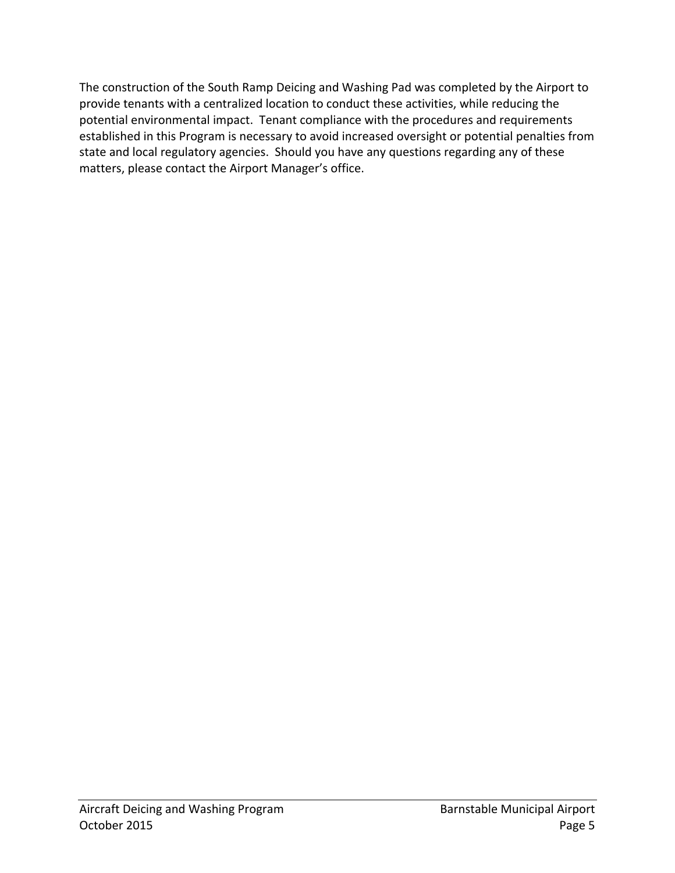The construction of the South Ramp Deicing and Washing Pad was completed by the Airport to provide tenants with a centralized location to conduct these activities, while reducing the potential environmental impact. Tenant compliance with the procedures and requirements established in this Program is necessary to avoid increased oversight or potential penalties from state and local regulatory agencies. Should you have any questions regarding any of these matters, please contact the Airport Manager's office.